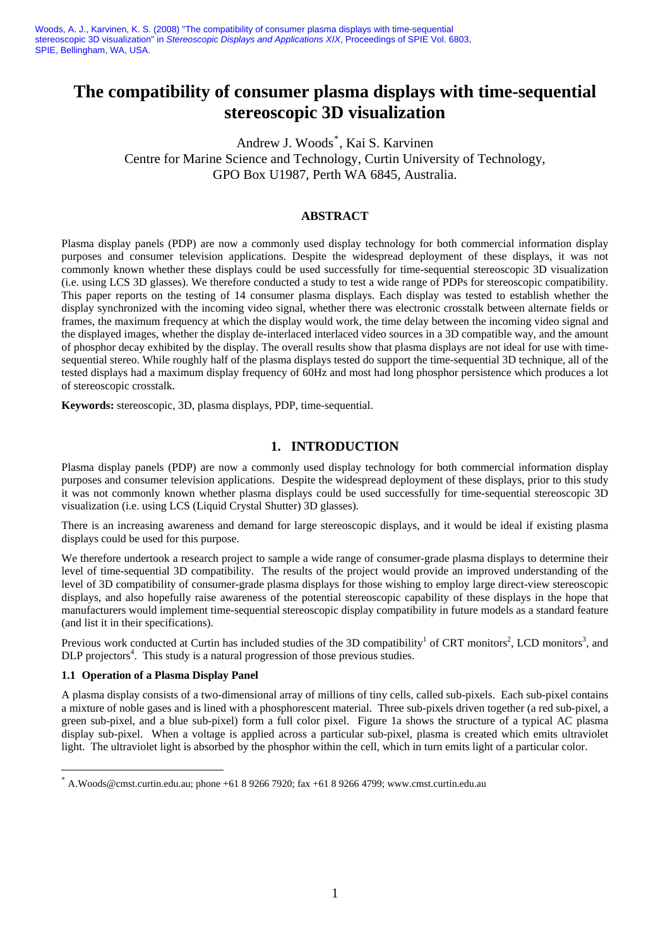Woods, A. J., Karvinen, K. S. (2008) "The compatibility of consumer plasma displays with time-sequential stereoscopic 3D visualization" in *Stereoscopic Displays and Applications XIX*, Proceedings of SPIE Vol. 6803, SPIE, Bellingham, WA, USA.

# **The compatibility of consumer plasma displays with time-sequential stereoscopic 3D visualization**

Andrew J. Woods[\\*](#page-0-0) , Kai S. Karvinen Centre for Marine Science and Technology, Curtin University of Technology, GPO Box U1987, Perth WA 6845, Australia.

### **ABSTRACT**

Plasma display panels (PDP) are now a commonly used display technology for both commercial information display purposes and consumer television applications. Despite the widespread deployment of these displays, it was not commonly known whether these displays could be used successfully for time-sequential stereoscopic 3D visualization (i.e. using LCS 3D glasses). We therefore conducted a study to test a wide range of PDPs for stereoscopic compatibility. This paper reports on the testing of 14 consumer plasma displays. Each display was tested to establish whether the display synchronized with the incoming video signal, whether there was electronic crosstalk between alternate fields or frames, the maximum frequency at which the display would work, the time delay between the incoming video signal and the displayed images, whether the display de-interlaced interlaced video sources in a 3D compatible way, and the amount of phosphor decay exhibited by the display. The overall results show that plasma displays are not ideal for use with timesequential stereo. While roughly half of the plasma displays tested do support the time-sequential 3D technique, all of the tested displays had a maximum display frequency of 60Hz and most had long phosphor persistence which produces a lot of stereoscopic crosstalk.

**Keywords:** stereoscopic, 3D, plasma displays, PDP, time-sequential.

### **1. INTRODUCTION**

Plasma display panels (PDP) are now a commonly used display technology for both commercial information display purposes and consumer television applications. Despite the widespread deployment of these displays, prior to this study it was not commonly known whether plasma displays could be used successfully for time-sequential stereoscopic 3D visualization (i.e. using LCS (Liquid Crystal Shutter) 3D glasses).

There is an increasing awareness and demand for large stereoscopic displays, and it would be ideal if existing plasma displays could be used for this purpose.

We therefore undertook a research project to sample a wide range of consumer-grade plasma displays to determine their level of time-sequential 3D compatibility. The results of the project would provide an improved understanding of the level of 3D compatibility of consumer-grade plasma displays for those wishing to employ large direct-view stereoscopic displays, and also hopefully raise awareness of the potential stereoscopic capability of these displays in the hope that manufacturers would implement time-sequential stereoscopic display compatibility in future models as a standard feature (and list it in their specifications).

Previous work conducted at Curtin has included studies of the 3D compatibility<sup>[1](#page-8-0)</sup> of CRT monitors<sup>2</sup>, LCD monitors<sup>[3](#page-8-2)</sup>, and DLP projectors<sup>4</sup>. This study is a natural progression of those previous studies.

### **1.1 Operation of a Plasma Display Panel**

1

A plasma display consists of a two-dimensional array of millions of tiny cells, called sub-pixels. Each sub-pixel contains a mixture of noble gases and is lined with a phosphorescent material. Three sub-pixels driven together (a red sub-pixel, a green sub-pixel, and a blue sub-pixel) form a full color pixel. Figure 1a shows the structure of a typical AC plasma display sub-pixel. When a voltage is applied across a particular sub-pixel, plasma is created which emits ultraviolet light. The ultraviolet light is absorbed by the phosphor within the cell, which in turn emits light of a particular color.

<span id="page-0-0"></span><sup>\*</sup> A.Woods@cmst.curtin.edu.au; phone +61 8 9266 7920; fax +61 8 9266 4799; www.cmst.curtin.edu.au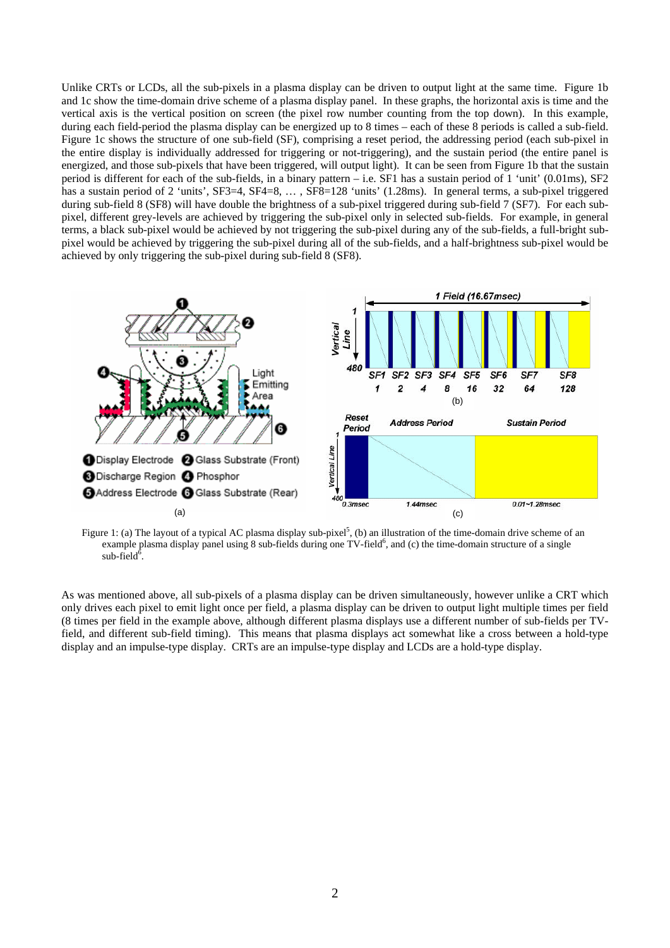Unlike CRTs or LCDs, all the sub-pixels in a plasma display can be driven to output light at the same time. Figure 1b and 1c show the time-domain drive scheme of a plasma display panel. In these graphs, the horizontal axis is time and the vertical axis is the vertical position on screen (the pixel row number counting from the top down). In this example, during each field-period the plasma display can be energized up to 8 times – each of these 8 periods is called a sub-field. Figure 1c shows the structure of one sub-field (SF), comprising a reset period, the addressing period (each sub-pixel in the entire display is individually addressed for triggering or not-triggering), and the sustain period (the entire panel is energized, and those sub-pixels that have been triggered, will output light). It can be seen from Figure 1b that the sustain period is different for each of the sub-fields, in a binary pattern – i.e. SF1 has a sustain period of 1 'unit' (0.01ms), SF2 has a sustain period of 2 'units', SF3=4, SF4=8, ..., SF8=128 'units' (1.28ms). In general terms, a sub-pixel triggered during sub-field 8 (SF8) will have double the brightness of a sub-pixel triggered during sub-field 7 (SF7). For each subpixel, different grey-levels are achieved by triggering the sub-pixel only in selected sub-fields. For example, in general terms, a black sub-pixel would be achieved by not triggering the sub-pixel during any of the sub-fields, a full-bright subpixel would be achieved by triggering the sub-pixel during all of the sub-fields, and a half-brightness sub-pixel would be achieved by only triggering the sub-pixel during sub-field 8 (SF8).



Figure 1: (a) The layout of a typical AC plasma display sub-pixel<sup>5</sup>, (b) an illustration of the time-domain drive scheme of an example plasma display panel using  $8$  sub-fields during one TV-field $6$ , and (c) the time-domain structure of a single  $sub-field^6$  $sub-field^6$ .

As was mentioned above, all sub-pixels of a plasma display can be driven simultaneously, however unlike a CRT which only drives each pixel to emit light once per field, a plasma display can be driven to output light multiple times per field (8 times per field in the example above, although different plasma displays use a different number of sub-fields per TVfield, and different sub-field timing). This means that plasma displays act somewhat like a cross between a hold-type display and an impulse-type display. CRTs are an impulse-type display and LCDs are a hold-type display.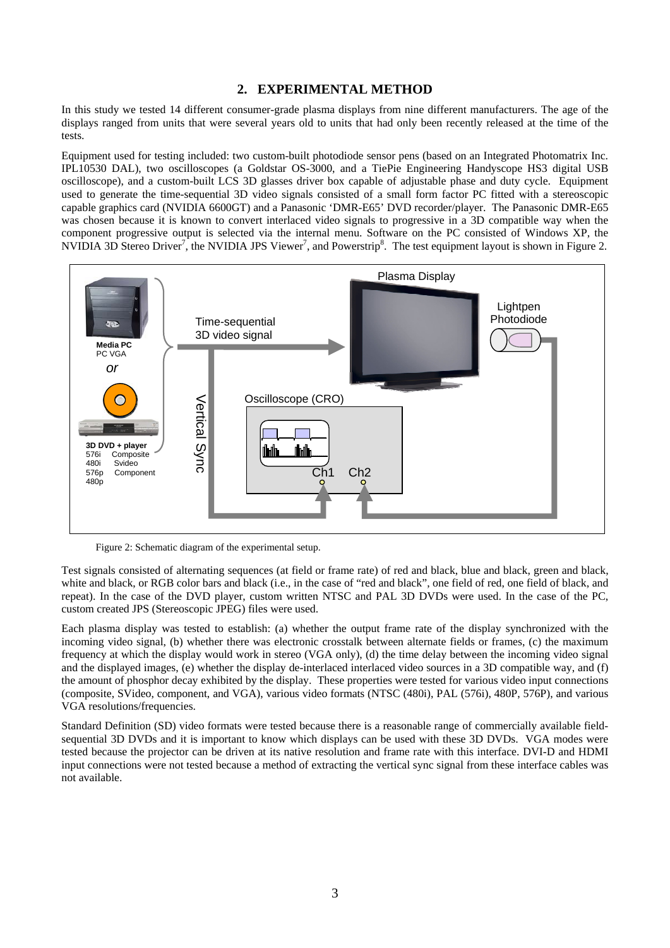## **2. EXPERIMENTAL METHOD**

In this study we tested 14 different consumer-grade plasma displays from nine different manufacturers. The age of the displays ranged from units that were several years old to units that had only been recently released at the time of the tests.

Equipment used for testing included: two custom-built photodiode sensor pens (based on an Integrated Photomatrix Inc. IPL10530 DAL), two oscilloscopes (a Goldstar OS-3000, and a TiePie Engineering Handyscope HS3 digital USB oscilloscope), and a custom-built LCS 3D glasses driver box capable of adjustable phase and duty cycle. Equipment used to generate the time-sequential 3D video signals consisted of a small form factor PC fitted with a stereoscopic capable graphics card (NVIDIA 6600GT) and a Panasonic 'DMR-E65' DVD recorder/player. The Panasonic DMR-E65 was chosen because it is known to convert interlaced video signals to progressive in a 3D compatible way when the component progressive output is selected via the internal menu. Software on the PC consisted of Windows XP, the NVIDIA 3D Stereo Driver<sup>[7](#page-8-6)</sup>, the NVIDIA JPS Viewer<sup>7</sup>, and Powerstrip<sup>8</sup>. The test equipment layout is shown in Figure 2.



Figure 2: Schematic diagram of the experimental setup.

Test signals consisted of alternating sequences (at field or frame rate) of red and black, blue and black, green and black, white and black, or RGB color bars and black (i.e., in the case of "red and black", one field of red, one field of black, and repeat). In the case of the DVD player, custom written NTSC and PAL 3D DVDs were used. In the case of the PC, custom created JPS (Stereoscopic JPEG) files were used.

Each plasma display was tested to establish: (a) whether the output frame rate of the display synchronized with the incoming video signal, (b) whether there was electronic crosstalk between alternate fields or frames, (c) the maximum frequency at which the display would work in stereo (VGA only), (d) the time delay between the incoming video signal and the displayed images, (e) whether the display de-interlaced interlaced video sources in a 3D compatible way, and (f) the amount of phosphor decay exhibited by the display. These properties were tested for various video input connections (composite, SVideo, component, and VGA), various video formats (NTSC (480i), PAL (576i), 480P, 576P), and various VGA resolutions/frequencies.

Standard Definition (SD) video formats were tested because there is a reasonable range of commercially available fieldsequential 3D DVDs and it is important to know which displays can be used with these 3D DVDs. VGA modes were tested because the projector can be driven at its native resolution and frame rate with this interface. DVI-D and HDMI input connections were not tested because a method of extracting the vertical sync signal from these interface cables was not available.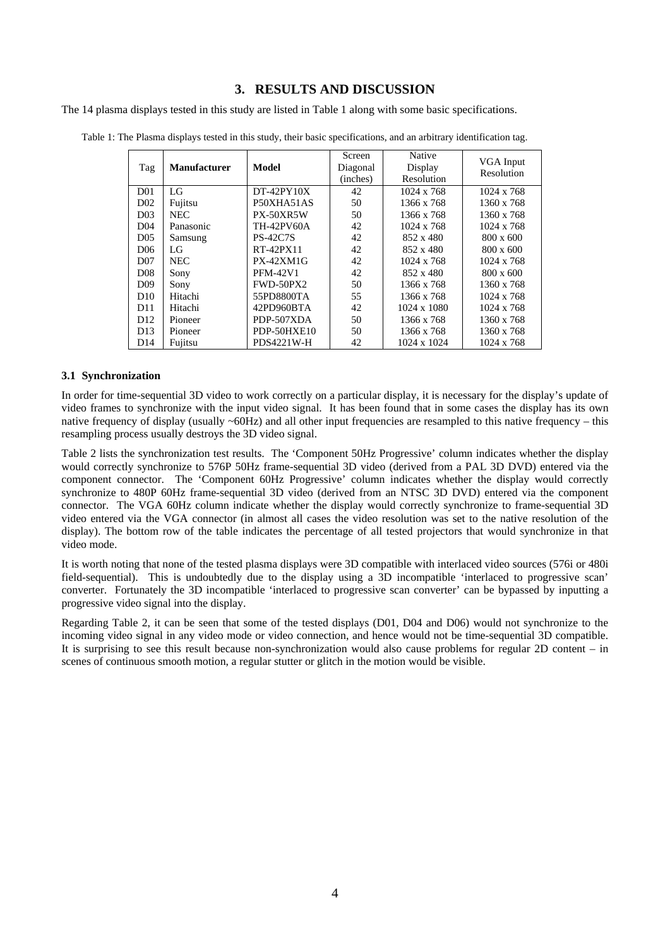# **3. RESULTS AND DISCUSSION**

The 14 plasma displays tested in this study are listed in Table 1 along with some basic specifications.

| Tag             | <b>Manufacturer</b> | <b>Model</b>     | Screen<br>Diagonal<br>(inches) | <b>Native</b><br>Display<br>Resolution | VGA Input<br>Resolution |
|-----------------|---------------------|------------------|--------------------------------|----------------------------------------|-------------------------|
| D <sub>01</sub> | LG                  | $DT-42PY10X$     | 42                             | 1024 x 768                             | 1024 x 768              |
| D <sub>02</sub> | Fujitsu             | P50XHA51AS       | 50                             | 1366 x 768                             | 1360 x 768              |
| D <sub>03</sub> | <b>NEC</b>          | PX-50XR5W        | 50                             | 1366 x 768                             | 1360 x 768              |
| D <sub>04</sub> | Panasonic           | TH-42PV60A       | 42                             | 1024 x 768                             | 1024 x 768              |
| D <sub>05</sub> | Samsung             | <b>PS-42C7S</b>  | 42                             | 852 x 480                              | 800 x 600               |
| D <sub>06</sub> | LG                  | RT-42PX11        | 42                             | 852 x 480                              | 800 x 600               |
| D <sub>07</sub> | <b>NEC</b>          | $PX-42XM1G$      | 42                             | 1024 x 768                             | 1024 x 768              |
| D <sub>08</sub> | Sony                | <b>PFM-42V1</b>  | 42                             | 852 x 480                              | 800 x 600               |
| D <sub>09</sub> | Sony                | <b>FWD-50PX2</b> | 50                             | 1366 x 768                             | 1360 x 768              |
| D <sub>10</sub> | Hitachi             | 55PD8800TA       | 55                             | 1366 x 768                             | 1024 x 768              |
| D <sub>11</sub> | Hitachi             | 42PD960BTA       | 42                             | 1024 x 1080                            | 1024 x 768              |
| D <sub>12</sub> | Pioneer             | PDP-507XDA       | 50                             | 1366 x 768                             | 1360 x 768              |
| D <sub>13</sub> | Pioneer             | PDP-50HXE10      | 50                             | 1366 x 768                             | 1360 x 768              |
| D14             | Fujitsu             | PDS4221W-H       | 42                             | 1024 x 1024                            | 1024 x 768              |

Table 1: The Plasma displays tested in this study, their basic specifications, and an arbitrary identification tag.

#### **3.1 Synchronization**

In order for time-sequential 3D video to work correctly on a particular display, it is necessary for the display's update of video frames to synchronize with the input video signal. It has been found that in some cases the display has its own native frequency of display (usually  $\sim 60$ Hz) and all other input frequencies are resampled to this native frequency – this resampling process usually destroys the 3D video signal.

Table 2 lists the synchronization test results. The 'Component 50Hz Progressive' column indicates whether the display would correctly synchronize to 576P 50Hz frame-sequential 3D video (derived from a PAL 3D DVD) entered via the component connector. The 'Component 60Hz Progressive' column indicates whether the display would correctly synchronize to 480P 60Hz frame-sequential 3D video (derived from an NTSC 3D DVD) entered via the component connector. The VGA 60Hz column indicate whether the display would correctly synchronize to frame-sequential 3D video entered via the VGA connector (in almost all cases the video resolution was set to the native resolution of the display). The bottom row of the table indicates the percentage of all tested projectors that would synchronize in that video mode.

It is worth noting that none of the tested plasma displays were 3D compatible with interlaced video sources (576i or 480i field-sequential). This is undoubtedly due to the display using a 3D incompatible 'interlaced to progressive scan' converter. Fortunately the 3D incompatible 'interlaced to progressive scan converter' can be bypassed by inputting a progressive video signal into the display.

Regarding Table 2, it can be seen that some of the tested displays (D01, D04 and D06) would not synchronize to the incoming video signal in any video mode or video connection, and hence would not be time-sequential 3D compatible. It is surprising to see this result because non-synchronization would also cause problems for regular 2D content – in scenes of continuous smooth motion, a regular stutter or glitch in the motion would be visible.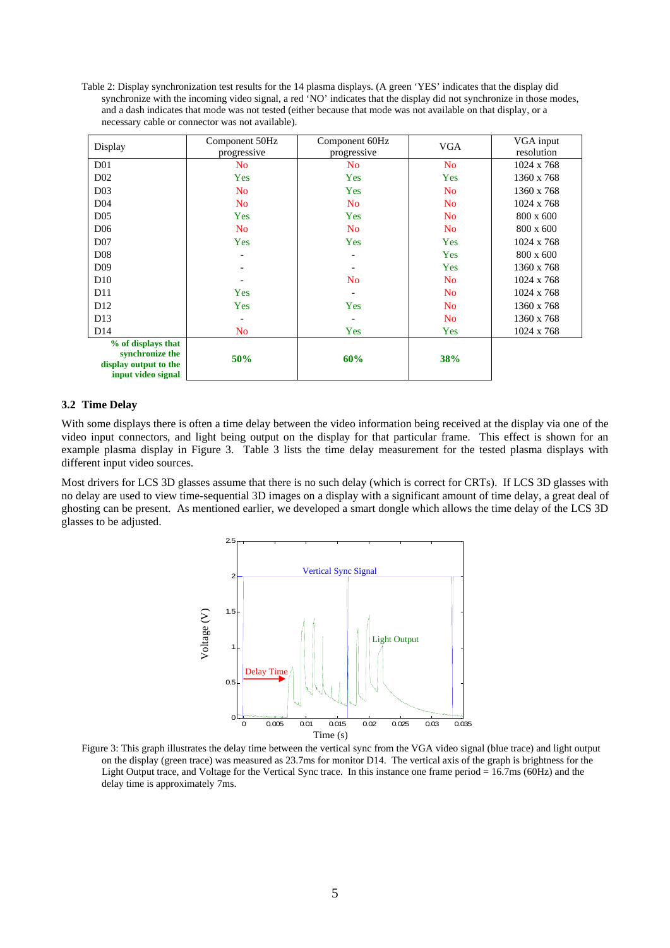Table 2: Display synchronization test results for the 14 plasma displays. (A green 'YES' indicates that the display did synchronize with the incoming video signal, a red 'NO' indicates that the display did not synchronize in those modes, and a dash indicates that mode was not tested (either because that mode was not available on that display, or a necessary cable or connector was not available).

| Display                                     | Component 50Hz           | Component 60Hz           | <b>VGA</b>     | VGA input  |
|---------------------------------------------|--------------------------|--------------------------|----------------|------------|
|                                             | progressive              | progressive              |                | resolution |
| D <sub>0</sub> 1                            | No                       | N <sub>0</sub>           | N <sub>o</sub> | 1024 x 768 |
| D <sub>02</sub>                             | Yes                      | Yes                      | Yes            | 1360 x 768 |
| D <sub>03</sub>                             | No                       | Yes                      | N <sub>o</sub> | 1360 x 768 |
| D <sub>04</sub>                             | N <sub>o</sub>           | N <sub>o</sub>           | N <sub>o</sub> | 1024 x 768 |
| D <sub>05</sub>                             | Yes                      | Yes                      | N <sub>o</sub> | 800 x 600  |
| D <sub>06</sub>                             | N <sub>o</sub>           | N <sub>o</sub>           | N <sub>o</sub> | 800 x 600  |
| D <sub>07</sub>                             | Yes                      | Yes                      | Yes            | 1024 x 768 |
| D <sub>08</sub>                             | $\overline{\phantom{a}}$ | $\overline{\phantom{a}}$ | Yes            | 800 x 600  |
| D <sub>09</sub>                             | $\overline{a}$           | $\overline{a}$           | Yes            | 1360 x 768 |
| D10                                         |                          | N <sub>o</sub>           | N <sub>o</sub> | 1024 x 768 |
| D11                                         | Yes                      |                          | N <sub>o</sub> | 1024 x 768 |
| D <sub>12</sub>                             | Yes                      | Yes                      | N <sub>o</sub> | 1360 x 768 |
| D13                                         | ۰                        |                          | N <sub>o</sub> | 1360 x 768 |
| D14                                         | No                       | Yes                      | Yes            | 1024 x 768 |
| % of displays that                          |                          |                          |                |            |
| synchronize the                             | 50%                      | 60%                      | <b>38%</b>     |            |
| display output to the<br>input video signal |                          |                          |                |            |
|                                             |                          |                          |                |            |

#### **3.2 Time Delay**

With some displays there is often a time delay between the video information being received at the display via one of the video input connectors, and light being output on the display for that particular frame. This effect is shown for an example plasma display in Figure 3. Table 3 lists the time delay measurement for the tested plasma displays with different input video sources.

Most drivers for LCS 3D glasses assume that there is no such delay (which is correct for CRTs). If LCS 3D glasses with no delay are used to view time-sequential 3D images on a display with a significant amount of time delay, a great deal of ghosting can be present. As mentioned earlier, we developed a smart dongle which allows the time delay of the LCS 3D glasses to be adjusted.



Figure 3: This graph illustrates the delay time between the vertical sync from the VGA video signal (blue trace) and light output on the display (green trace) was measured as 23.7ms for monitor D14. The vertical axis of the graph is brightness for the Light Output trace, and Voltage for the Vertical Sync trace. In this instance one frame period = 16.7ms (60Hz) and the delay time is approximately 7ms.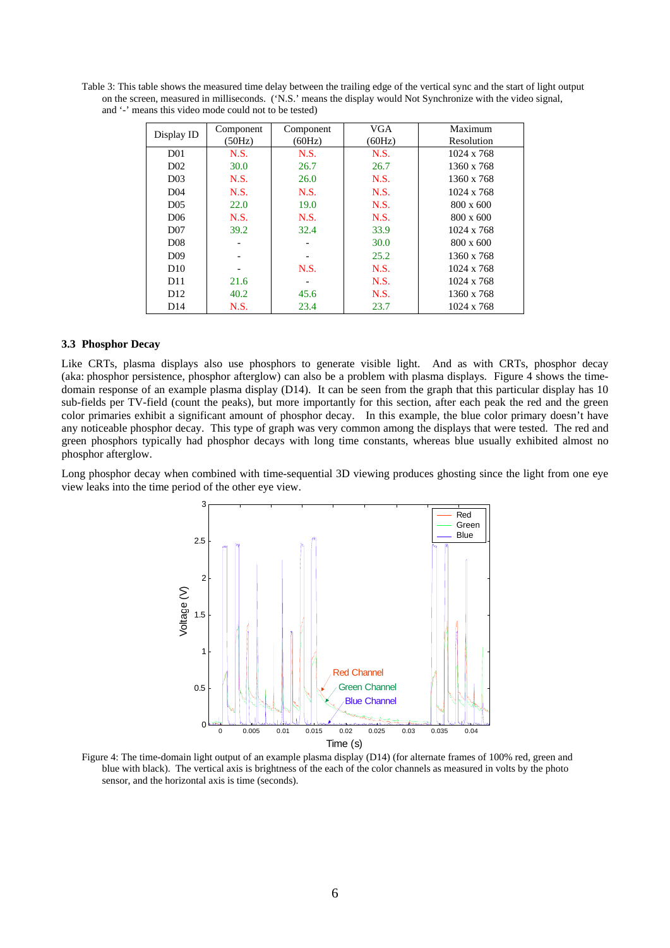Table 3: This table shows the measured time delay between the trailing edge of the vertical sync and the start of light output on the screen, measured in milliseconds. ('N.S.' means the display would Not Synchronize with the video signal, and '-' means this video mode could not to be tested)

|                 | Component   | Component | <b>VGA</b> | Maximum           |
|-----------------|-------------|-----------|------------|-------------------|
| Display ID      | (50Hz)      | (60Hz)    | (60Hz)     | Resolution        |
| D <sub>01</sub> | N.S.        | N.S.      | N.S.       | 1024 x 768        |
| D <sub>02</sub> | 30.0        | 26.7      | 26.7       | 1360 x 768        |
| D <sub>03</sub> | N.S.        | 26.0      | N.S.       | 1360 x 768        |
| D <sub>04</sub> | <b>N.S.</b> | N.S.      | N.S.       | $1024 \times 768$ |
| D <sub>05</sub> | 22.0        | 19.0      | N.S.       | 800 x 600         |
| D <sub>06</sub> | N.S.        | N.S.      | N.S.       | 800 x 600         |
| D <sub>07</sub> | 39.2        | 32.4      | 33.9       | 1024 x 768        |
| D <sub>08</sub> |             |           | 30.0       | $800 \times 600$  |
| D <sub>09</sub> |             |           | 25.2       | 1360 x 768        |
| D10             |             | N.S.      | N.S.       | 1024 x 768        |
| D11             | 21.6        |           | N.S.       | 1024 x 768        |
| D <sub>12</sub> | 40.2        | 45.6      | N.S.       | 1360 x 768        |
| D14             | N.S.        | 23.4      | 23.7       | 1024 x 768        |

#### **3.3 Phosphor Decay**

Like CRTs, plasma displays also use phosphors to generate visible light. And as with CRTs, phosphor decay (aka: phosphor persistence, phosphor afterglow) can also be a problem with plasma displays. Figure 4 shows the timedomain response of an example plasma display (D14). It can be seen from the graph that this particular display has 10 sub-fields per TV-field (count the peaks), but more importantly for this section, after each peak the red and the green color primaries exhibit a significant amount of phosphor decay. In this example, the blue color primary doesn't have any noticeable phosphor decay. This type of graph was very common among the displays that were tested. The red and green phosphors typically had phosphor decays with long time constants, whereas blue usually exhibited almost no phosphor afterglow.

Long phosphor decay when combined with time-sequential 3D viewing produces ghosting since the light from one eye view leaks into the time period of the other eye view.



Figure 4: The time-domain light output of an example plasma display (D14) (for alternate frames of 100% red, green and blue with black). The vertical axis is brightness of the each of the color channels as measured in volts by the photo sensor, and the horizontal axis is time (seconds).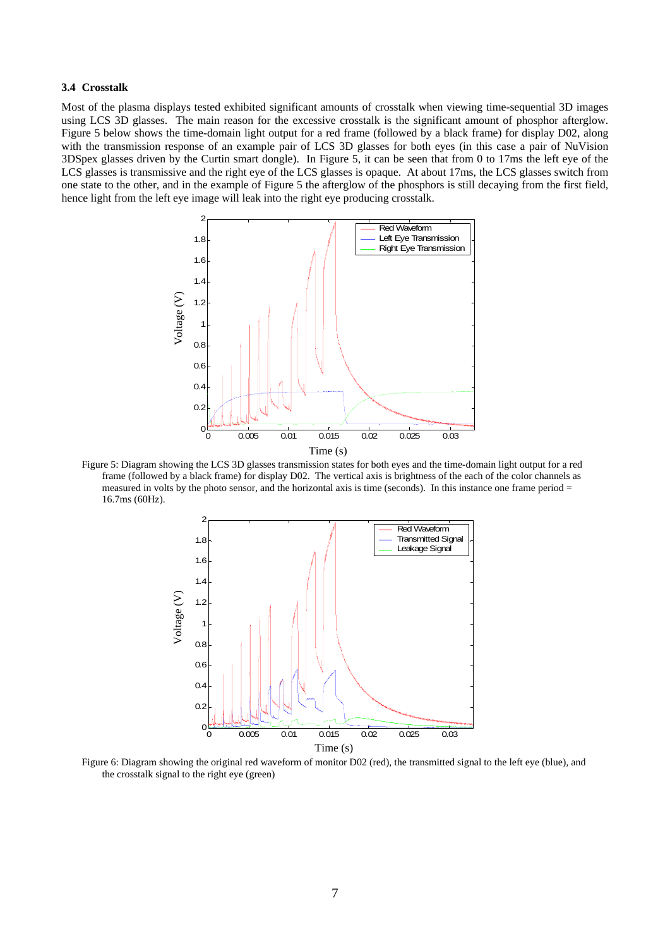#### **3.4 Crosstalk**

Most of the plasma displays tested exhibited significant amounts of crosstalk when viewing time-sequential 3D images using LCS 3D glasses. The main reason for the excessive crosstalk is the significant amount of phosphor afterglow. Figure 5 below shows the time-domain light output for a red frame (followed by a black frame) for display D02, along with the transmission response of an example pair of LCS 3D glasses for both eyes (in this case a pair of NuVision 3DSpex glasses driven by the Curtin smart dongle). In Figure 5, it can be seen that from 0 to 17ms the left eye of the LCS glasses is transmissive and the right eye of the LCS glasses is opaque. At about 17ms, the LCS glasses switch from one state to the other, and in the example of Figure 5 the afterglow of the phosphors is still decaying from the first field, hence light from the left eye image will leak into the right eye producing crosstalk.



Figure 5: Diagram showing the LCS 3D glasses transmission states for both eyes and the time-domain light output for a red frame (followed by a black frame) for display D02. The vertical axis is brightness of the each of the color channels as measured in volts by the photo sensor, and the horizontal axis is time (seconds). In this instance one frame period = 16.7ms (60Hz).



Figure 6: Diagram showing the original red waveform of monitor D02 (red), the transmitted signal to the left eye (blue), and the crosstalk signal to the right eye (green)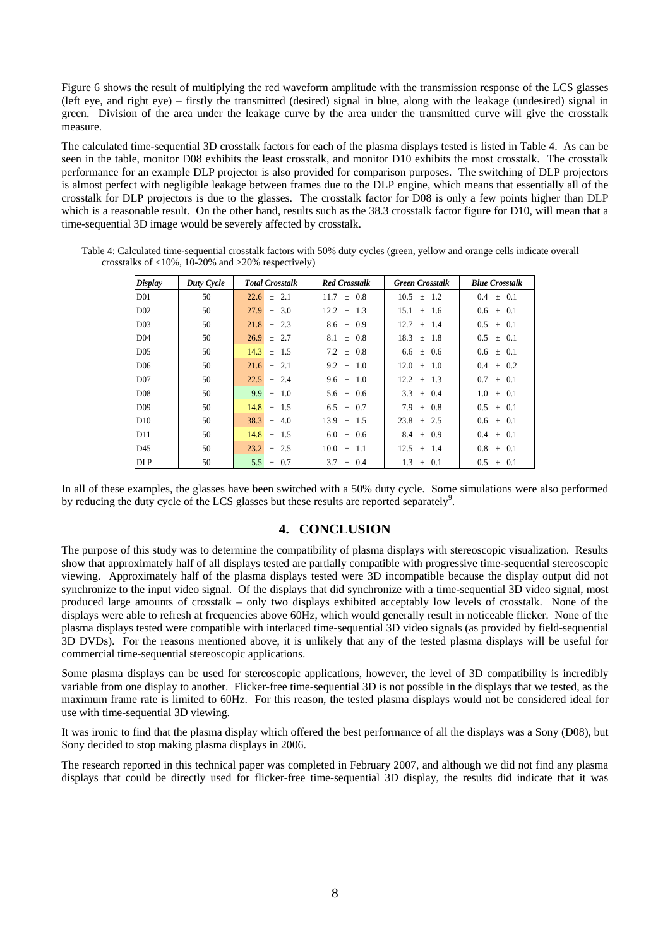Figure 6 shows the result of multiplying the red waveform amplitude with the transmission response of the LCS glasses (left eye, and right eye) – firstly the transmitted (desired) signal in blue, along with the leakage (undesired) signal in green. Division of the area under the leakage curve by the area under the transmitted curve will give the crosstalk measure.

The calculated time-sequential 3D crosstalk factors for each of the plasma displays tested is listed in Table 4. As can be seen in the table, monitor D08 exhibits the least crosstalk, and monitor D10 exhibits the most crosstalk. The crosstalk performance for an example DLP projector is also provided for comparison purposes. The switching of DLP projectors is almost perfect with negligible leakage between frames due to the DLP engine, which means that essentially all of the crosstalk for DLP projectors is due to the glasses. The crosstalk factor for D08 is only a few points higher than DLP which is a reasonable result. On the other hand, results such as the 38.3 crosstalk factor figure for D10, will mean that a time-sequential 3D image would be severely affected by crosstalk.

| <b>Display</b>  | Duty Cycle | <b>Total Crosstalk</b> | <b>Red Crosstalk</b> | <b>Green Crosstalk</b> | <b>Blue Crosstalk</b>       |
|-----------------|------------|------------------------|----------------------|------------------------|-----------------------------|
| D <sub>01</sub> | 50         | $\pm$ 2.1<br>22.6      | $\pm$ 0.8<br>11.7    | 10.5<br>1.2<br>$\pm$   | $\pm$ 0.1<br>0.4            |
| D <sub>02</sub> | 50         | 27.9<br>$\pm$ 3.0      | 12.2<br>$\pm$ 1.3    | 15.1<br>$±$ 1.6        | $0.6 \pm 0.1$               |
| D <sub>03</sub> | 50         | 21.8<br>$+2.3$         | $8.6 \pm 0.9$        | 12.7<br>$\pm$ 1.4      | $0.5 \pm 0.1$               |
| D <sub>04</sub> | 50         | 26.9<br>$+2.7$         | 8.1<br>$+ 0.8$       | 18.3<br>$+ 1.8$        | 0.5<br>$+ 0.1$              |
| D <sub>05</sub> | 50         | 14.3<br>1.5<br>$+$     | 7.2<br>$+ 0.8$       | $6.6 \pm 0.6$          | $0.6 \pm 0.1$               |
| D <sub>06</sub> | 50         | $\pm$ 2.1<br>21.6      | 9.2<br>$\pm$ 1.0     | $12.0 \pm 1.0$         | $0.4 \pm 0.2$               |
| D <sub>07</sub> | 50         | 22.5<br>$+2.4$         | 9.6 $\pm$ 1.0        | 12.2<br>$\pm$ 1.3      | 0.7<br>$\pm$ 0.1            |
| D <sub>08</sub> | 50         | 9.9<br>1.0<br>$+$      | ± 0.6<br>5.6         | 3.3<br>$\pm$ 0.4       | $1.0^{\circ}$<br>$\pm$ 0.1  |
| D()9            | 50         | 14.8<br>$+$ 1.5        | $6.5 + 0.7$          | 7.9<br>$+ 0.8$         | $0.5^{\circ}$<br>$+ 0.1$    |
| D10             | 50         | 38.3<br>4.0<br>$\pm$   | $13.9 \pm 1.5$       | 23.8<br>$+2.5$         | $0.6 \pm 0.1$               |
| D11             | 50         | 14.8<br>1.5<br>$+$     | 6.0<br>± 0.6         | 0.9<br>8.4<br>$\pm$    | 0.1<br>$0.4^{\circ}$<br>$+$ |
| D45             | 50         | 23.2<br>$+2.5$         | 10.0<br>$+$ 1.1      | $12.5 + 1.4$           | 0.8<br>$+ 0.1$              |
| <b>DLP</b>      | 50         | 5.5<br>0.7<br>$\pm$    | 3.7<br>$\pm$ 0.4     | 1.3<br>$\pm$ 0.1       | 0.5<br>$\pm$ 0.1            |

Table 4: Calculated time-sequential crosstalk factors with 50% duty cycles (green, yellow and orange cells indicate overall crosstalks of <10%, 10-20% and >20% respectively)

In all of these examples, the glasses have been switched with a 50% duty cycle. Some simulations were also performed by reducing the duty cycle of the LCS glasses but these results are reported separately<sup>[9](#page-8-8)</sup>.

### **4. CONCLUSION**

The purpose of this study was to determine the compatibility of plasma displays with stereoscopic visualization. Results show that approximately half of all displays tested are partially compatible with progressive time-sequential stereoscopic viewing. Approximately half of the plasma displays tested were 3D incompatible because the display output did not synchronize to the input video signal. Of the displays that did synchronize with a time-sequential 3D video signal, most produced large amounts of crosstalk – only two displays exhibited acceptably low levels of crosstalk. None of the displays were able to refresh at frequencies above 60Hz, which would generally result in noticeable flicker. None of the plasma displays tested were compatible with interlaced time-sequential 3D video signals (as provided by field-sequential 3D DVDs). For the reasons mentioned above, it is unlikely that any of the tested plasma displays will be useful for commercial time-sequential stereoscopic applications.

Some plasma displays can be used for stereoscopic applications, however, the level of 3D compatibility is incredibly variable from one display to another. Flicker-free time-sequential 3D is not possible in the displays that we tested, as the maximum frame rate is limited to 60Hz. For this reason, the tested plasma displays would not be considered ideal for use with time-sequential 3D viewing.

It was ironic to find that the plasma display which offered the best performance of all the displays was a Sony (D08), but Sony decided to stop making plasma displays in 2006.

The research reported in this technical paper was completed in February 2007, and although we did not find any plasma displays that could be directly used for flicker-free time-sequential 3D display, the results did indicate that it was